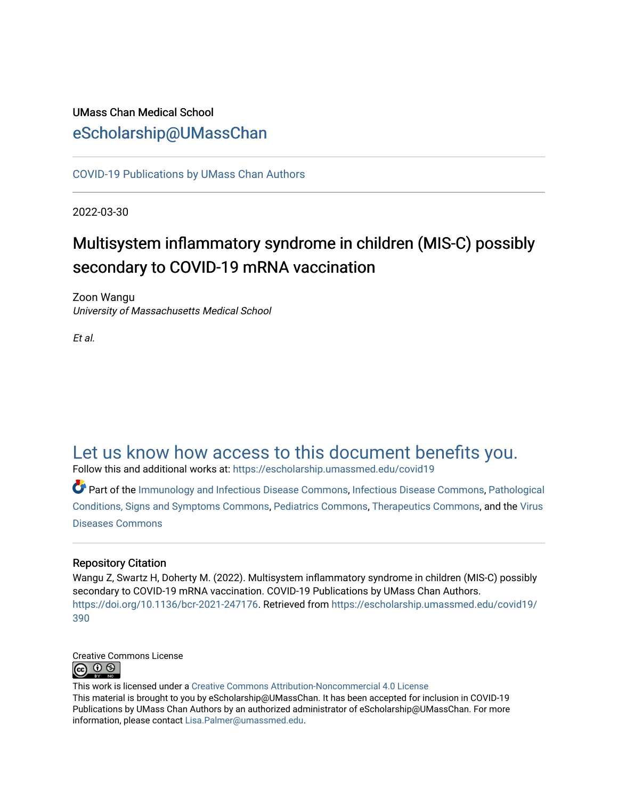## UMass Chan Medical School [eScholarship@UMassChan](https://escholarship.umassmed.edu/)

[COVID-19 Publications by UMass Chan Authors](https://escholarship.umassmed.edu/covid19)

2022-03-30

## Multisystem inflammatory syndrome in children (MIS-C) possibly secondary to COVID-19 mRNA vaccination

Zoon Wangu University of Massachusetts Medical School

Et al.

## [Let us know how access to this document benefits you.](https://arcsapps.umassmed.edu/redcap/surveys/?s=XWRHNF9EJE)

Follow this and additional works at: [https://escholarship.umassmed.edu/covid19](https://escholarship.umassmed.edu/covid19?utm_source=escholarship.umassmed.edu%2Fcovid19%2F390&utm_medium=PDF&utm_campaign=PDFCoverPages) 

Part of the [Immunology and Infectious Disease Commons,](https://network.bepress.com/hgg/discipline/33?utm_source=escholarship.umassmed.edu%2Fcovid19%2F390&utm_medium=PDF&utm_campaign=PDFCoverPages) [Infectious Disease Commons,](https://network.bepress.com/hgg/discipline/689?utm_source=escholarship.umassmed.edu%2Fcovid19%2F390&utm_medium=PDF&utm_campaign=PDFCoverPages) [Pathological](https://network.bepress.com/hgg/discipline/1004?utm_source=escholarship.umassmed.edu%2Fcovid19%2F390&utm_medium=PDF&utm_campaign=PDFCoverPages)  [Conditions, Signs and Symptoms Commons,](https://network.bepress.com/hgg/discipline/1004?utm_source=escholarship.umassmed.edu%2Fcovid19%2F390&utm_medium=PDF&utm_campaign=PDFCoverPages) [Pediatrics Commons](https://network.bepress.com/hgg/discipline/700?utm_source=escholarship.umassmed.edu%2Fcovid19%2F390&utm_medium=PDF&utm_campaign=PDFCoverPages), [Therapeutics Commons](https://network.bepress.com/hgg/discipline/993?utm_source=escholarship.umassmed.edu%2Fcovid19%2F390&utm_medium=PDF&utm_campaign=PDFCoverPages), and the [Virus](https://network.bepress.com/hgg/discipline/998?utm_source=escholarship.umassmed.edu%2Fcovid19%2F390&utm_medium=PDF&utm_campaign=PDFCoverPages) [Diseases Commons](https://network.bepress.com/hgg/discipline/998?utm_source=escholarship.umassmed.edu%2Fcovid19%2F390&utm_medium=PDF&utm_campaign=PDFCoverPages) 

## Repository Citation

Wangu Z, Swartz H, Doherty M. (2022). Multisystem inflammatory syndrome in children (MIS-C) possibly secondary to COVID-19 mRNA vaccination. COVID-19 Publications by UMass Chan Authors. [https://doi.org/10.1136/bcr-2021-247176.](https://doi.org/10.1136/bcr-2021-247176) Retrieved from [https://escholarship.umassmed.edu/covid19/](https://escholarship.umassmed.edu/covid19/390?utm_source=escholarship.umassmed.edu%2Fcovid19%2F390&utm_medium=PDF&utm_campaign=PDFCoverPages) [390](https://escholarship.umassmed.edu/covid19/390?utm_source=escholarship.umassmed.edu%2Fcovid19%2F390&utm_medium=PDF&utm_campaign=PDFCoverPages) 



This work is licensed under a [Creative Commons Attribution-Noncommercial 4.0 License](http://creativecommons.org/licenses/by-nc/4.0/)  This material is brought to you by eScholarship@UMassChan. It has been accepted for inclusion in COVID-19 Publications by UMass Chan Authors by an authorized administrator of eScholarship@UMassChan. For more information, please contact [Lisa.Palmer@umassmed.edu.](mailto:Lisa.Palmer@umassmed.edu)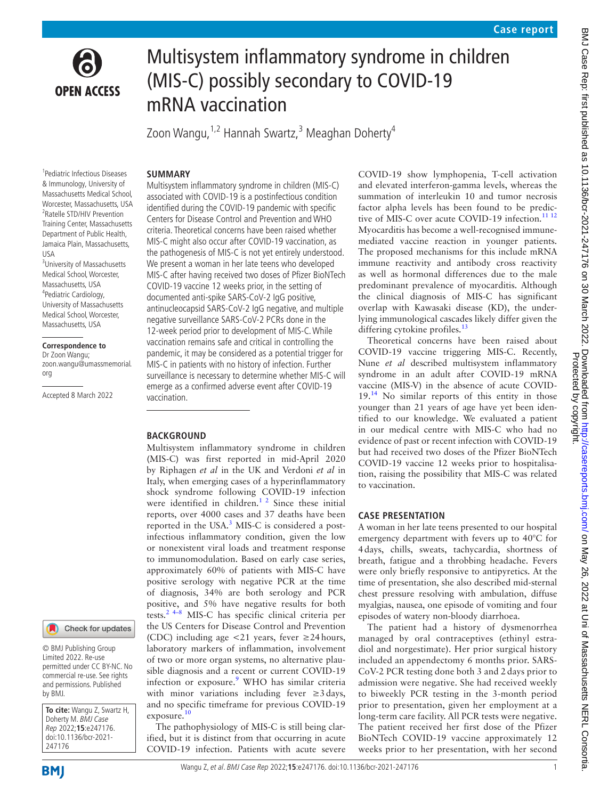

# Multisystem inflammatory syndrome in children (MIS-C) possibly secondary to COVID-19 mRNA vaccination

Zoon Wangu, <sup>1,2</sup> Hannah Swartz, <sup>3</sup> Meaghan Doherty<sup>4</sup>

#### **SUMMARY**

1 Pediatric Infectious Diseases & Immunology, University of Massachusetts Medical School, Worcester, Massachusetts, USA 2 Ratelle STD/HIV Prevention Training Center, Massachusetts Department of Public Health, Jamaica Plain, Massachusetts, USA

3 University of Massachusetts Medical School, Worcester, Massachusetts, USA 4 Pediatric Cardiology, University of Massachusetts Medical School, Worcester, Massachusetts, USA

#### **Correspondence to**

Dr Zoon Wangu; zoon.wangu@umassmemorial. org

Accepted 8 March 2022



© BMJ Publishing Group Limited 2022. Re-use permitted under CC BY-NC. No commercial re-use. See rights and permissions. Published by BMJ.

**To cite:** Wangu Z, Swartz H, Doherty M. BMJ Case Rep 2022;**15**:e247176. doi:10.1136/bcr-2021- 247176

Multisystem inflammatory syndrome in children (MIS-C) associated with COVID-19 is a postinfectious condition identified during the COVID-19 pandemic with specific Centers for Disease Control and Prevention and WHO criteria. Theoretical concerns have been raised whether MIS-C might also occur after COVID-19 vaccination, as the pathogenesis of MIS-C is not yet entirely understood. We present a woman in her late teens who developed MIS-C after having received two doses of Pfizer BioNTech COVID-19 vaccine 12 weeks prior, in the setting of documented anti-spike SARS-CoV-2 IgG positive, antinucleocapsid SARS-CoV-2 IgG negative, and multiple negative surveillance SARS-CoV-2 PCRs done in the 12-week period prior to development of MIS-C. While vaccination remains safe and critical in controlling the pandemic, it may be considered as a potential trigger for MIS-C in patients with no history of infection. Further surveillance is necessary to determine whether MIS-C will emerge as a confirmed adverse event after COVID-19 vaccination.

#### **BACKGROUND**

Multisystem inflammatory syndrome in children (MIS-C) was first reported in mid-April 2020 by Riphagen *et al* in the UK and Verdoni *et al* in Italy, when emerging cases of a hyperinflammatory shock syndrome following COVID-19 infection were identified in children.<sup>1 2</sup> Since these initial reports, over 4000 cases and 37 deaths have been reported in the USA.<sup>[3](#page-4-1)</sup> MIS-C is considered a postinfectious inflammatory condition, given the low or nonexistent viral loads and treatment response to immunomodulation. Based on early case series, approximately 60% of patients with MIS-C have positive serology with negative PCR at the time of diagnosis, 34% are both serology and PCR positive, and 5% have negative results for both tests.[2 4–8](#page-4-2) MIS-C has specific clinical criteria per the US Centers for Disease Control and Prevention (CDC) including age  $\langle 21 \rangle$  years, fever  $\geq 24$  hours, laboratory markers of inflammation, involvement of two or more organ systems, no alternative plausible diagnosis and a recent or current COVID-19 infection or exposure.<sup>[9](#page-4-3)</sup> WHO has similar criteria with minor variations including fever  $\geq 3$  days, and no specific timeframe for previous COVID-19 exposure.<sup>10</sup>

The pathophysiology of MIS-C is still being clarified, but it is distinct from that occurring in acute COVID-19 infection. Patients with acute severe COVID-19 show lymphopenia, T-cell activation and elevated interferon-gamma levels, whereas the summation of interleukin 10 and tumor necrosis factor alpha levels has been found to be predictive of MIS-C over acute COVID-19 infection.<sup>11 12</sup> Myocarditis has become a well-recognised immunemediated vaccine reaction in younger patients. The proposed mechanisms for this include mRNA immune reactivity and antibody cross reactivity as well as hormonal differences due to the male predominant prevalence of myocarditis. Although the clinical diagnosis of MIS-C has significant overlap with Kawasaki disease (KD), the underlying immunological cascades likely differ given the differing cytokine profiles.<sup>13</sup>

Theoretical concerns have been raised about COVID-19 vaccine triggering MIS-C. Recently, Nune *et al* described multisystem inflammatory syndrome in an adult after COVID-19 mRNA vaccine (MIS-V) in the absence of acute COVID-19.[14](#page-5-0) No similar reports of this entity in those younger than 21 years of age have yet been identified to our knowledge. We evaluated a patient in our medical centre with MIS-C who had no evidence of past or recent infection with COVID-19 but had received two doses of the Pfizer BioNTech COVID-19 vaccine 12 weeks prior to hospitalisation, raising the possibility that MIS-C was related to vaccination.

### **CASE PRESENTATION**

A woman in her late teens presented to our hospital emergency department with fevers up to 40°C for 4days, chills, sweats, tachycardia, shortness of breath, fatigue and a throbbing headache. Fevers were only briefly responsive to antipyretics. At the time of presentation, she also described mid-sternal chest pressure resolving with ambulation, diffuse myalgias, nausea, one episode of vomiting and four episodes of watery non-bloody diarrhoea.

The patient had a history of dysmenorrhea managed by oral contraceptives (ethinyl estradiol and norgestimate). Her prior surgical history included an appendectomy 6 months prior. SARS-CoV-2 PCR testing done both 3 and 2 days prior to admission were negative. She had received weekly to biweekly PCR testing in the 3-month period prior to presentation, given her employment at a long-term care facility. All PCR tests were negative. The patient received her first dose of the Pfizer BioNTech COVID-19 vaccine approximately 12 weeks prior to her presentation, with her second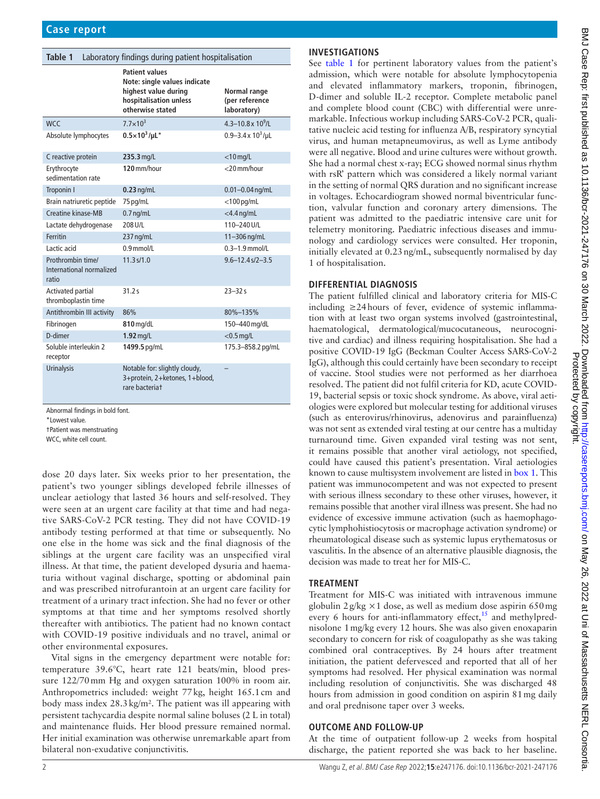<span id="page-2-0"></span>

| Laboratory findings during patient hospitalisation<br>Table 1 |                                                                                                                             |                                               |
|---------------------------------------------------------------|-----------------------------------------------------------------------------------------------------------------------------|-----------------------------------------------|
|                                                               | <b>Patient values</b><br>Note: single values indicate<br>highest value during<br>hospitalisation unless<br>otherwise stated | Normal range<br>(per reference<br>laboratory) |
| <b>WCC</b>                                                    | $7.7 \times 10^3$                                                                                                           | $4.3 - 10.8 \times 10^9$ /I                   |
| Absolute lymphocytes                                          | $0.5 \times 10^3 / \mu L^*$                                                                                                 | 0.9-3.4 x $10^3$ /µL                          |
| C reactive protein                                            | 235.3 mg/L                                                                                                                  | $<$ 10 mg/L                                   |
| Erythrocyte<br>sedimentation rate                             | 120 mm/hour                                                                                                                 | <20 mm/hour                                   |
| Troponin I                                                    | $0.23$ ng/mL                                                                                                                | $0.01 - 0.04$ ng/mL                           |
| Brain natriuretic peptide                                     | 75 pg/mL                                                                                                                    | $<$ 100 pg/mL                                 |
| Creatine kinase-MB                                            | $0.7$ ng/mL                                                                                                                 | $<$ 4.4 ng/mL                                 |
| Lactate dehydrogenase                                         | 208 U/L                                                                                                                     | $110 - 240$ U/I                               |
| Ferritin                                                      | 237 ng/mL                                                                                                                   | 11-306 ng/mL                                  |
| Lactic acid                                                   | $0.9$ mmol/l                                                                                                                | $0.3 - 1.9$ mmol/l                            |
| Prothrombin time/<br>International normalized<br>ratio        | 11.3 s/1.0                                                                                                                  | $9.6 - 12.4 s/2 - 3.5$                        |
| <b>Activated partial</b><br>thromboplastin time               | 31.2s                                                                                                                       | $23 - 32s$                                    |
| Antithrombin III activity                                     | 86%                                                                                                                         | 80%-135%                                      |
| Fibrinogen                                                    | 810 mg/dL                                                                                                                   | 150-440 mg/dL                                 |
| D-dimer                                                       | $1.92$ mg/L                                                                                                                 | $<$ 0.5 mg/L                                  |
| Soluble interleukin 2<br>receptor                             | 1499.5 pg/mL                                                                                                                | 175.3-858.2 pg/mL                             |
| <b>Urinalysis</b>                                             | Notable for: slightly cloudy,<br>3+protein, 2+ketones, 1+blood,<br>rare bacteriat                                           |                                               |

Abnormal findings in bold font.

\*Lowest value.

†Patient was menstruating

WCC, white cell count.

dose 20 days later. Six weeks prior to her presentation, the patient's two younger siblings developed febrile illnesses of unclear aetiology that lasted 36 hours and self-resolved. They were seen at an urgent care facility at that time and had negative SARS-CoV-2 PCR testing. They did not have COVID-19 antibody testing performed at that time or subsequently. No one else in the home was sick and the final diagnosis of the siblings at the urgent care facility was an unspecified viral illness. At that time, the patient developed dysuria and haematuria without vaginal discharge, spotting or abdominal pain and was prescribed nitrofurantoin at an urgent care facility for treatment of a urinary tract infection. She had no fever or other symptoms at that time and her symptoms resolved shortly thereafter with antibiotics. The patient had no known contact with COVID-19 positive individuals and no travel, animal or other environmental exposures.

Vital signs in the emergency department were notable for: temperature 39.6°C, heart rate 121 beats/min, blood pressure 122/70mm Hg and oxygen saturation 100% in room air. Anthropometrics included: weight 77kg, height 165.1cm and body mass index 28.3kg/m². The patient was ill appearing with persistent tachycardia despite normal saline boluses (2 L in total) and maintenance fluids. Her blood pressure remained normal. Her initial examination was otherwise unremarkable apart from bilateral non-exudative conjunctivitis.

## **INVESTIGATIONS**

See [table](#page-2-0) 1 for pertinent laboratory values from the patient's admission, which were notable for absolute lymphocytopenia and elevated inflammatory markers, troponin, fibrinogen, D-dimer and soluble IL-2 receptor. Complete metabolic panel and complete blood count (CBC) with differential were unremarkable. Infectious workup including SARS-CoV-2 PCR, qualitative nucleic acid testing for influenza A/B, respiratory syncytial virus, and human metapneumovirus, as well as Lyme antibody were all negative. Blood and urine cultures were without growth. She had a normal chest x-ray; ECG showed normal sinus rhythm with rsR' pattern which was considered a likely normal variant in the setting of normal QRS duration and no significant increase in voltages. Echocardiogram showed normal biventricular function, valvular function and coronary artery dimensions. The patient was admitted to the paediatric intensive care unit for telemetry monitoring. Paediatric infectious diseases and immunology and cardiology services were consulted. Her troponin, initially elevated at 0.23ng/mL, subsequently normalised by day 1 of hospitalisation.

## **DIFFERENTIAL DIAGNOSIS**

The patient fulfilled clinical and laboratory criteria for MIS-C including ≥24hours of fever, evidence of systemic inflammation with at least two organ systems involved (gastrointestinal, haematological, dermatological/mucocutaneous, neurocognitive and cardiac) and illness requiring hospitalisation. She had a positive COVID-19 IgG (Beckman Coulter Access SARS-CoV-2 IgG), although this could certainly have been secondary to receipt of vaccine. Stool studies were not performed as her diarrhoea resolved. The patient did not fulfil criteria for KD, acute COVID-19, bacterial sepsis or toxic shock syndrome. As above, viral aetiologies were explored but molecular testing for additional viruses (such as enterovirus/rhinovirus, adenovirus and parainfluenza) was not sent as extended viral testing at our centre has a multiday turnaround time. Given expanded viral testing was not sent, it remains possible that another viral aetiology, not specified, could have caused this patient's presentation. Viral aetiologies known to cause multisystem involvement are listed in [box](#page-3-0) 1. This patient was immunocompetent and was not expected to present with serious illness secondary to these other viruses, however, it remains possible that another viral illness was present. She had no evidence of excessive immune activation (such as haemophagocytic lymphohistiocytosis or macrophage activation syndrome) or rheumatological disease such as systemic lupus erythematosus or vasculitis. In the absence of an alternative plausible diagnosis, the decision was made to treat her for MIS-C.

## **TREATMENT**

Treatment for MIS-C was initiated with intravenous immune globulin  $2g/kg \times 1$  dose, as well as medium dose aspirin 650 mg every 6 hours for anti-inflammatory effect, $15$  and methylprednisolone 1mg/kg every 12 hours. She was also given enoxaparin secondary to concern for risk of coagulopathy as she was taking combined oral contraceptives. By 24 hours after treatment initiation, the patient defervesced and reported that all of her symptoms had resolved. Her physical examination was normal including resolution of conjunctivitis. She was discharged 48 hours from admission in good condition on aspirin 81 mg daily and oral prednisone taper over 3 weeks.

## **OUTCOME AND FOLLOW-UP**

At the time of outpatient follow-up 2 weeks from hospital discharge, the patient reported she was back to her baseline.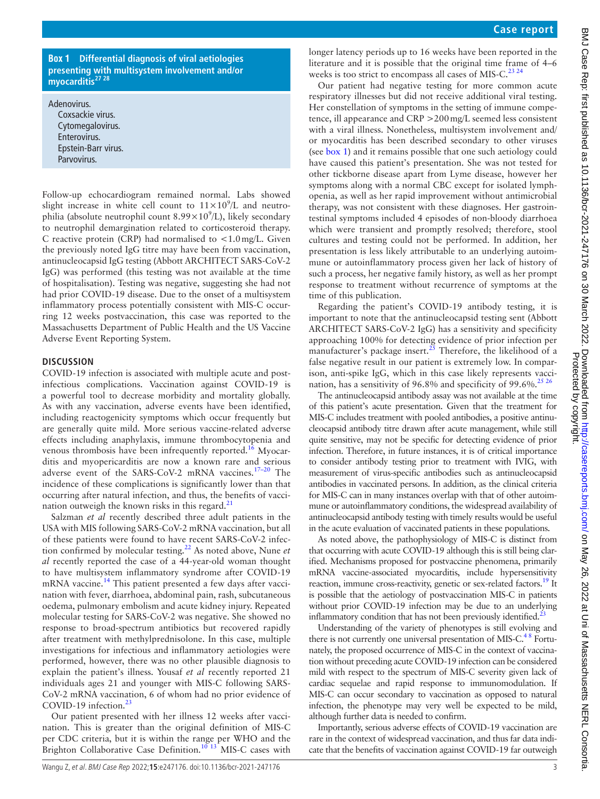#### **Box 1 Differential diagnosis of viral aetiologies presenting with multisystem involvement and/or myocarditi[s27 28](#page-5-9)**

<span id="page-3-0"></span>Adenovirus. Coxsackie virus. Cytomegalovirus. Enterovirus. Epstein-Barr virus. Parvovirus.

Follow-up echocardiogram remained normal. Labs showed slight increase in white cell count to  $11 \times 10^9$ /L and neutrophilia (absolute neutrophil count  $8.99 \times 10^9$ /L), likely secondary to neutrophil demargination related to corticosteroid therapy. C reactive protein (CRP) had normalised to  $\langle 1.0 \text{ mg/L}$ . Given the previously noted IgG titre may have been from vaccination, antinucleocapsid IgG testing (Abbott ARCHITECT SARS-CoV-2 IgG) was performed (this testing was not available at the time of hospitalisation). Testing was negative, suggesting she had not had prior COVID-19 disease. Due to the onset of a multisystem inflammatory process potentially consistent with MIS-C occurring 12 weeks postvaccination, this case was reported to the Massachusetts Department of Public Health and the US Vaccine Adverse Event Reporting System.

#### **DISCUSSION**

COVID-19 infection is associated with multiple acute and postinfectious complications. Vaccination against COVID-19 is a powerful tool to decrease morbidity and mortality globally. As with any vaccination, adverse events have been identified, including reactogenicity symptoms which occur frequently but are generally quite mild. More serious vaccine-related adverse effects including anaphylaxis, immune thrombocytopenia and venous thrombosis have been infrequently reported.<sup>16</sup> Myocarditis and myopericarditis are now a known rare and serious adverse event of the SARS-CoV-2 mRNA vaccines[.17–20](#page-5-3) The incidence of these complications is significantly lower than that occurring after natural infection, and thus, the benefits of vacci-nation outweigh the known risks in this regard.<sup>[21](#page-5-4)</sup>

Salzman *et al* recently described three adult patients in the USA with MIS following SARS-CoV-2 mRNA vaccination, but all of these patients were found to have recent SARS-CoV-2 infection confirmed by molecular testing[.22](#page-5-5) As noted above, Nune *et al* recently reported the case of a 44-year-old woman thought to have multisystem inflammatory syndrome after COVID-19 mRNA vaccine.<sup>[14](#page-5-0)</sup> This patient presented a few days after vaccination with fever, diarrhoea, abdominal pain, rash, subcutaneous oedema, pulmonary embolism and acute kidney injury. Repeated molecular testing for SARS-CoV-2 was negative. She showed no response to broad-spectrum antibiotics but recovered rapidly after treatment with methylprednisolone. In this case, multiple investigations for infectious and inflammatory aetiologies were performed, however, there was no other plausible diagnosis to explain the patient's illness. Yousaf *et al* recently reported 21 individuals ages 21 and younger with MIS-C following SARS-CoV-2 mRNA vaccination, 6 of whom had no prior evidence of COVID-19 infection. $^{23}$  $^{23}$  $^{23}$ 

Our patient presented with her illness 12 weeks after vaccination. This is greater than the original definition of MIS-C per CDC criteria, but it is within the range per WHO and the Brighton Collaborative Case Definition.<sup>[10 13](#page-4-4)</sup> MIS-C cases with

longer latency periods up to 16 weeks have been reported in the literature and it is possible that the original time frame of 4–6 weeks is too strict to encompass all cases of MIS-C.<sup>[23 24](#page-5-6)</sup>

Our patient had negative testing for more common acute respiratory illnesses but did not receive additional viral testing. Her constellation of symptoms in the setting of immune competence, ill appearance and CRP >200mg/L seemed less consistent with a viral illness. Nonetheless, multisystem involvement and/ or myocarditis has been described secondary to other viruses (see [box](#page-3-0) 1) and it remains possible that one such aetiology could have caused this patient's presentation. She was not tested for other tickborne disease apart from Lyme disease, however her symptoms along with a normal CBC except for isolated lymphopenia, as well as her rapid improvement without antimicrobial therapy, was not consistent with these diagnoses. Her gastrointestinal symptoms included 4 episodes of non-bloody diarrhoea which were transient and promptly resolved; therefore, stool cultures and testing could not be performed. In addition, her presentation is less likely attributable to an underlying autoimmune or autoinflammatory process given her lack of history of such a process, her negative family history, as well as her prompt response to treatment without recurrence of symptoms at the time of this publication.

Regarding the patient's COVID-19 antibody testing, it is important to note that the antinucleocapsid testing sent (Abbott ARCHITECT SARS-CoV-2 IgG) has a sensitivity and specificity approaching 100% for detecting evidence of prior infection per manufacturer's package insert.<sup>25</sup> Therefore, the likelihood of a false negative result in our patient is extremely low. In comparison, anti-spike IgG, which in this case likely represents vacci-nation, has a sensitivity of 96.8% and specificity of 99.6%.<sup>[25 26](#page-5-7)</sup>

The antinucleocapsid antibody assay was not available at the time of this patient's acute presentation. Given that the treatment for MIS-C includes treatment with pooled antibodies, a positive antinucleocapsid antibody titre drawn after acute management, while still quite sensitive, may not be specific for detecting evidence of prior infection. Therefore, in future instances, it is of critical importance to consider antibody testing prior to treatment with IVIG, with measurement of virus-specific antibodies such as antinucleocapsid antibodies in vaccinated persons. In addition, as the clinical criteria for MIS-C can in many instances overlap with that of other autoimmune or autoinflammatory conditions, the widespread availability of antinucleocapsid antibody testing with timely results would be useful in the acute evaluation of vaccinated patients in these populations.

As noted above, the pathophysiology of MIS-C is distinct from that occurring with acute COVID-19 although this is still being clarified. Mechanisms proposed for postvaccine phenomena, primarily mRNA vaccine-associated myocarditis, include hypersensitivity reaction, immune cross-reactivity, genetic or sex-related factors.<sup>19</sup> It is possible that the aetiology of postvaccination MIS-C in patients without prior COVID-19 infection may be due to an underlying inflammatory condition that has not been previously identified.<sup>2</sup>

Understanding of the variety of phenotypes is still evolving and there is not currently one universal presentation of MIS- $C<sup>48</sup>$  Fortunately, the proposed occurrence of MIS-C in the context of vaccination without preceding acute COVID-19 infection can be considered mild with respect to the spectrum of MIS-C severity given lack of cardiac sequelae and rapid response to immunomodulation. If MIS-C can occur secondary to vaccination as opposed to natural infection, the phenotype may very well be expected to be mild, although further data is needed to confirm.

Importantly, serious adverse effects of COVID-19 vaccination are rare in the context of widespread vaccination, and thus far data indicate that the benefits of vaccination against COVID-19 far outweigh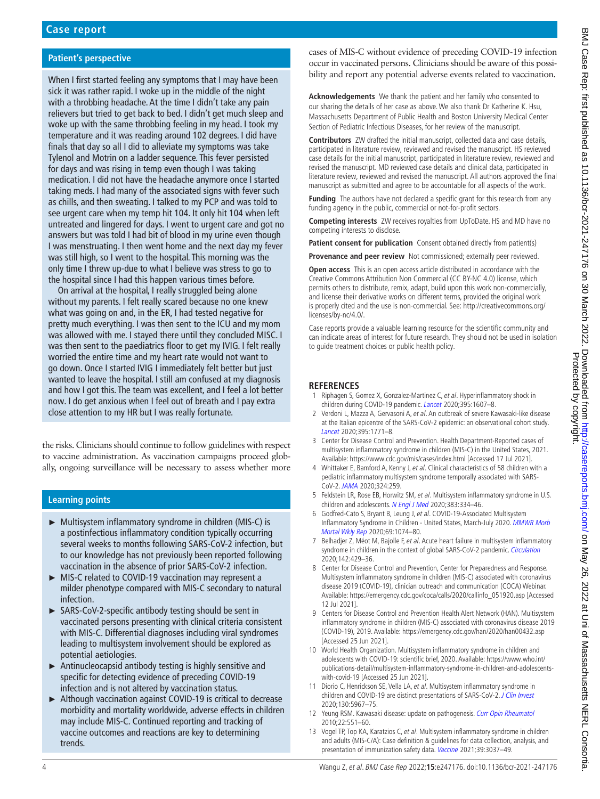### **Patient's perspective**

When I first started feeling any symptoms that I may have been sick it was rather rapid. I woke up in the middle of the night with a throbbing headache. At the time I didn't take any pain relievers but tried to get back to bed. I didn't get much sleep and woke up with the same throbbing feeling in my head. I took my temperature and it was reading around 102 degrees. I did have finals that day so all I did to alleviate my symptoms was take Tylenol and Motrin on a ladder sequence. This fever persisted for days and was rising in temp even though I was taking medication. I did not have the headache anymore once I started taking meds. I had many of the associated signs with fever such as chills, and then sweating. I talked to my PCP and was told to see urgent care when my temp hit 104. It only hit 104 when left untreated and lingered for days. I went to urgent care and got no answers but was told I had bit of blood in my urine even though I was menstruating. I then went home and the next day my fever was still high, so I went to the hospital. This morning was the only time I threw up-due to what I believe was stress to go to the hospital since I had this happen various times before.

On arrival at the hospital, I really struggled being alone without my parents. I felt really scared because no one knew what was going on and, in the ER, I had tested negative for pretty much everything. I was then sent to the ICU and my mom was allowed with me. I stayed there until they concluded MISC. I was then sent to the paediatrics floor to get my IVIG. I felt really worried the entire time and my heart rate would not want to go down. Once I started IVIG I immediately felt better but just wanted to leave the hospital. I still am confused at my diagnosis and how I got this. The team was excellent, and I feel a lot better now. I do get anxious when I feel out of breath and I pay extra close attention to my HR but I was really fortunate.

the risks. Clinicians should continue to follow guidelines with respect to vaccine administration. As vaccination campaigns proceed globally, ongoing surveillance will be necessary to assess whether more

#### **Learning points**

- ► Multisystem inflammatory syndrome in children (MIS-C) is a postinfectious inflammatory condition typically occurring several weeks to months following SARS-CoV-2 infection, but to our knowledge has not previously been reported following vaccination in the absence of prior SARS-CoV-2 infection.
- ► MIS-C related to COVID-19 vaccination may represent a milder phenotype compared with MIS-C secondary to natural infection.
- ► SARS-CoV-2-specific antibody testing should be sent in vaccinated persons presenting with clinical criteria consistent with MIS-C. Differential diagnoses including viral syndromes leading to multisystem involvement should be explored as potential aetiologies.
- ► Antinucleocapsid antibody testing is highly sensitive and specific for detecting evidence of preceding COVID-19 infection and is not altered by vaccination status.
- ► Although vaccination against COVID-19 is critical to decrease morbidity and mortality worldwide, adverse effects in children may include MIS-C. Continued reporting and tracking of vaccine outcomes and reactions are key to determining trends.

cases of MIS-C without evidence of preceding COVID-19 infection occur in vaccinated persons. Clinicians should be aware of this possibility and report any potential adverse events related to vaccination.

**Acknowledgements** We thank the patient and her family who consented to our sharing the details of her case as above. We also thank Dr Katherine K. Hsu, Massachusetts Department of Public Health and Boston University Medical Center Section of Pediatric Infectious Diseases, for her review of the manuscript.

**Contributors** ZW drafted the initial manuscript, collected data and case details, participated in literature review, reviewed and revised the manuscript. HS reviewed case details for the initial manuscript, participated in literature review, reviewed and revised the manuscript. MD reviewed case details and clinical data, participated in literature review, reviewed and revised the manuscript. All authors approved the final manuscript as submitted and agree to be accountable for all aspects of the work.

**Funding** The authors have not declared a specific grant for this research from any funding agency in the public, commercial or not-for-profit sectors.

**Competing interests** ZW receives royalties from UpToDate. HS and MD have no competing interests to disclose.

Patient consent for publication Consent obtained directly from patient(s)

**Provenance and peer review** Not commissioned: externally peer reviewed.

**Open access** This is an open access article distributed in accordance with the Creative Commons Attribution Non Commercial (CC BY-NC 4.0) license, which permits others to distribute, remix, adapt, build upon this work non-commercially, and license their derivative works on different terms, provided the original work is properly cited and the use is non-commercial. See: [http://creativecommons.org/](http://creativecommons.org/licenses/by-nc/4.0/) [licenses/by-nc/4.0/.](http://creativecommons.org/licenses/by-nc/4.0/)

Case reports provide a valuable learning resource for the scientific community and can indicate areas of interest for future research. They should not be used in isolation to guide treatment choices or public health policy.

#### **REFERENCES**

- <span id="page-4-0"></span>1 Riphagen S, Gomez X, Gonzalez-Martinez C, et al. Hyperinflammatory shock in children during COVID-19 pandemic. [Lancet](http://dx.doi.org/10.1016/S0140-6736(20)31094-1) 2020;395:1607–8.
- <span id="page-4-2"></span>2 Verdoni L, Mazza A, Gervasoni A, et al. An outbreak of severe Kawasaki-like disease at the Italian epicentre of the SARS-CoV-2 epidemic: an observational cohort study. [Lancet](http://dx.doi.org/10.1016/S0140-6736(20)31103-X) 2020;395:1771–8.
- <span id="page-4-1"></span>3 Center for Disease Control and Prevention. Health Department-Reported cases of multisystem inflammatory syndrome in children (MIS-C) in the United States, 2021. Available:<https://www.cdc.gov/mis/cases/index.html> [Accessed 17 Jul 2021].
- <span id="page-4-7"></span>4 Whittaker E, Bamford A, Kenny J, et al. Clinical characteristics of 58 children with a pediatric inflammatory multisystem syndrome temporally associated with SARS-CoV-2. [JAMA](http://dx.doi.org/10.1001/jama.2020.10369) 2020;324:259.
- 5 Feldstein LR, Rose EB, Horwitz SM, et al. Multisystem inflammatory syndrome in U.S. children and adolescents. [N Engl J Med](http://dx.doi.org/10.1056/NEJMoa2021680) 2020;383:334-46.
- 6 Godfred-Cato S, Bryant B, Leung J, et al. COVID-19-Associated Multisystem Inflammatory Syndrome in Children - United States, March-July 2020. MMWR Morb [Mortal Wkly Rep](http://dx.doi.org/10.15585/mmwr.mm6932e2) 2020;69:1074–80.
- 7 Belhadjer Z, Méot M, Bajolle F, et al. Acute heart failure in multisystem inflammatory syndrome in children in the context of global SARS-CoV-2 pandemic. [Circulation](http://dx.doi.org/10.1161/CIRCULATIONAHA.120.048360) 2020;142:429–36.
- 8 Center for Disease Control and Prevention, Center for Preparedness and Response. Multisystem inflammatory syndrome in children (MIS-C) associated with coronavirus disease 2019 (COVID-19), clinician outreach and communication (COCA) Webinar. Available: [https://emergency.cdc.gov/coca/calls/2020/callinfo\\_051920.asp](https://emergency.cdc.gov/coca/calls/2020/callinfo_051920.asp) [Accessed 12 Jul 2021].
- <span id="page-4-3"></span>9 Centers for Disease Control and Prevention Health Alert Network (HAN). Multisystem inflammatory syndrome in children (MIS-C) associated with coronavirus disease 2019 (COVID-19), 2019. Available: <https://emergency.cdc.gov/han/2020/han00432.asp> [Accessed 25 Jun 2021].
- <span id="page-4-4"></span>10 World Health Organization. Multisystem inflammatory syndrome in children and adolescents with COVID-19: scientific brief, 2020. Available: [https://www.who.int/](https://www.who.int/publications-detail/multisystem-inflammatory-syndrome-in-children-and-adolescents-with-covid-19) [publications-detail/multisystem-inflammatory-syndrome-in-children-and-adolescents](https://www.who.int/publications-detail/multisystem-inflammatory-syndrome-in-children-and-adolescents-with-covid-19)[with-covid-19](https://www.who.int/publications-detail/multisystem-inflammatory-syndrome-in-children-and-adolescents-with-covid-19) [Accessed 25 Jun 2021].
- <span id="page-4-5"></span>11 Diorio C, Henrickson SE, Vella LA, et al. Multisystem inflammatory syndrome in children and COVID-19 are distinct presentations of SARS-CoV-2. [J Clin Invest](http://dx.doi.org/10.1172/JCI140970) 2020;130:5967–75.
- 12 Yeung RSM. Kawasaki disease: update on pathogenesis. [Curr Opin Rheumatol](http://dx.doi.org/10.1097/BOR.0b013e32833cf051) 2010;22:551–60.
- <span id="page-4-6"></span>13 Vogel TP, Top KA, Karatzios C, et al. Multisystem inflammatory syndrome in children and adults (MIS-C/A): Case definition & guidelines for data collection, analysis, and presentation of immunization safety data. [Vaccine](http://dx.doi.org/10.1016/j.vaccine.2021.01.054) 2021;39:3037–49.